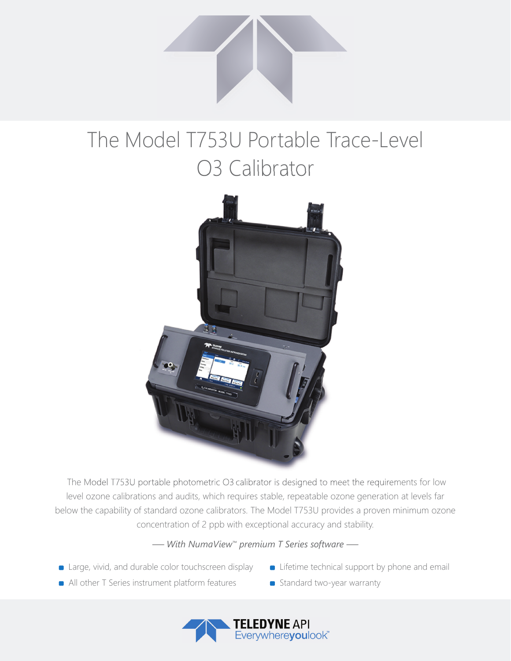

## The Model T753U Portable Trace-Level O3 Calibrator



 The Model T753U portable photometric O3 calibrator is designed to meet the requirements for low level ozone calibrations and audits, which requires stable, repeatable ozone generation at levels far below the capability of standard ozone calibrators. The Model T753U provides a proven minimum ozone concentration of 2 ppb with exceptional accuracy and stability.

## *— With NumaView™ premium T Series software —*

- **Example 2** Large, vivid, and durable color touchscreen display
- **Example 1** Lifetime technical support by phone and email
- All other T Series instrument platform features
- Standard two-year warranty